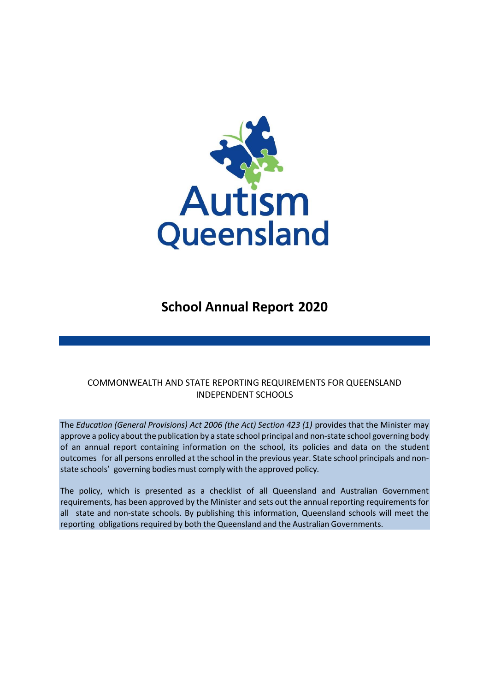

# **School Annual Report 2020**

# COMMONWEALTH AND STATE REPORTING REQUIREMENTS FOR QUEENSLAND INDEPENDENT SCHOOLS

The *Education (General Provisions) Act 2006 (the Act) Section 423 (1)* provides that the Minister may approve a policy about the publication by a state school principal and non-state school governing body of an annual report containing information on the school, its policies and data on the student outcomes for all persons enrolled at the school in the previous year. State school principals and nonstate schools' governing bodies must comply with the approved policy*.*

The policy, which is presented as a checklist of all Queensland and Australian Government requirements, has been approved by the Minister and sets out the annual reporting requirements for all state and non-state schools. By publishing this information, Queensland schools will meet the reporting obligations required by both the Queensland and the Australian Governments.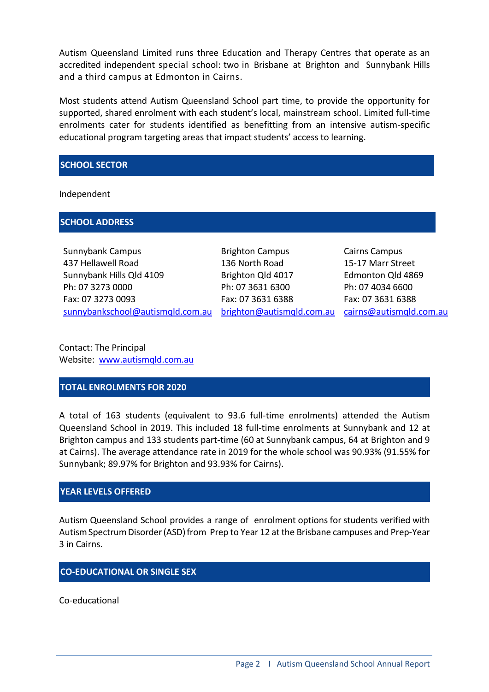Autism Queensland Limited runs three Education and Therapy Centres that operate as an accredited independent special school: two in Brisbane at Brighton and Sunnybank Hills and a third campus at Edmonton in Cairns.

Most students attend Autism Queensland School part time, to provide the opportunity for supported, shared enrolment with each student's local, mainstream school. Limited full-time enrolments cater for students identified as benefitting from an intensive autism-specific educational program targeting areas that impact students' access to learning.

#### **SCHOOL SECTOR**

Independent

#### **SCHOOL ADDRESS**

Sunnybank Campus 437 Hellawell Road Sunnybank Hills Qld 4109 Ph: 07 3273 0000 Fax: 07 3273 0093 [sunnybankschool@autismqld.com.au](mailto:sunnybankschool@autismqld.com.au)

Brighton Campus 136 North Road Brighton Qld 4017 Ph: 07 3631 6300 Fax: 07 3631 6388

[brighton@autismqld.com.au](mailto:righton@autismqld.com.au) [cairns@autismqld.com.au](mailto:cairns@autismqld.com.au) Cairns Campus 15-17 Marr Street Edmonton Qld 4869 Ph: 07 4034 6600 Fax: 07 3631 6388

Contact: The Principal Website: [www.autismqld.com.au](http://www.autismqld.com.au/)

#### **TOTAL ENROLMENTS FOR 2020**

A total of 163 students (equivalent to 93.6 full-time enrolments) attended the Autism Queensland School in 2019. This included 18 full-time enrolments at Sunnybank and 12 at Brighton campus and 133 students part-time (60 at Sunnybank campus, 64 at Brighton and 9 at Cairns). The average attendance rate in 2019 for the whole school was 90.93% (91.55% for Sunnybank; 89.97% for Brighton and 93.93% for Cairns).

# **YEAR LEVELS OFFERED**

Autism Queensland School provides a range of enrolment optionsfor students verified with Autism Spectrum Disorder (ASD) from Prep to Year 12 at the Brisbane campuses and Prep-Year 3 in Cairns.

# **CO-EDUCATIONAL OR SINGLE SEX**

Co-educational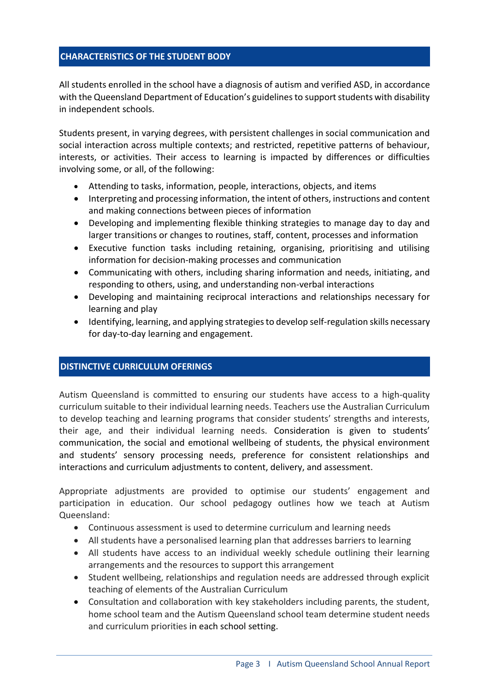### **CHARACTERISTICS OF THE STUDENT BODY**

All students enrolled in the school have a diagnosis of autism and verified ASD, in accordance with the Queensland Department of Education's guidelines to support students with disability in independent schools.

Students present, in varying degrees, with persistent challenges in social communication and social interaction across multiple contexts; and restricted, repetitive patterns of behaviour, interests, or activities. Their access to learning is impacted by differences or difficulties involving some, or all, of the following:

- Attending to tasks, information, people, interactions, objects, and items
- Interpreting and processing information, the intent of others, instructions and content and making connections between pieces of information
- Developing and implementing flexible thinking strategies to manage day to day and larger transitions or changes to routines, staff, content, processes and information
- Executive function tasks including retaining, organising, prioritising and utilising information for decision-making processes and communication
- Communicating with others, including sharing information and needs, initiating, and responding to others, using, and understanding non-verbal interactions
- Developing and maintaining reciprocal interactions and relationships necessary for learning and play
- Identifying, learning, and applying strategies to develop self-regulation skills necessary for day-to-day learning and engagement.

#### **DISTINCTIVE CURRICULUM OFERINGS**

Autism Queensland is committed to ensuring our students have access to a high-quality curriculum suitable to their individual learning needs. Teachers use the Australian Curriculum to develop teaching and learning programs that consider students' strengths and interests, their age, and their individual learning needs. Consideration is given to students' communication, the social and emotional wellbeing of students, the physical environment and students' sensory processing needs, preference for consistent relationships and interactions and curriculum adjustments to content, delivery, and assessment.

Appropriate adjustments are provided to optimise our students' engagement and participation in education. Our school pedagogy outlines how we teach at Autism Queensland:

- Continuous assessment is used to determine curriculum and learning needs
- All students have a personalised learning plan that addresses barriers to learning
- All students have access to an individual weekly schedule outlining their learning arrangements and the resources to support this arrangement
- Student wellbeing, relationships and regulation needs are addressed through explicit teaching of elements of the Australian Curriculum
- Consultation and collaboration with key stakeholders including parents, the student, home school team and the Autism Queensland school team determine student needs and curriculum priorities in each school setting.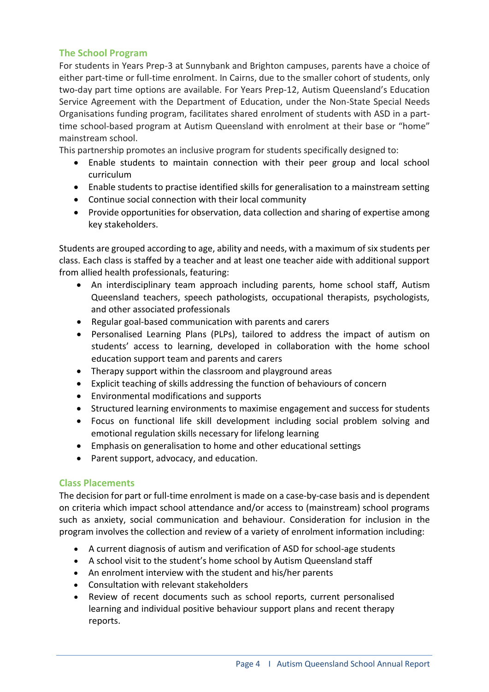# **The School Program**

For students in Years Prep-3 at Sunnybank and Brighton campuses, parents have a choice of either part-time or full-time enrolment. In Cairns, due to the smaller cohort of students, only two-day part time options are available. For Years Prep-12, Autism Queensland's Education Service Agreement with the Department of Education, under the Non-State Special Needs Organisations funding program, facilitates shared enrolment of students with ASD in a parttime school-based program at Autism Queensland with enrolment at their base or "home" mainstream school.

This partnership promotes an inclusive program for students specifically designed to:

- Enable students to maintain connection with their peer group and local school curriculum
- Enable students to practise identified skills for generalisation to a mainstream setting
- Continue social connection with their local community
- Provide opportunities for observation, data collection and sharing of expertise among key stakeholders.

Students are grouped according to age, ability and needs, with a maximum of six students per class. Each class is staffed by a teacher and at least one teacher aide with additional support from allied health professionals, featuring:

- An interdisciplinary team approach including parents, home school staff, Autism Queensland teachers, speech pathologists, occupational therapists, psychologists, and other associated professionals
- Regular goal-based communication with parents and carers
- Personalised Learning Plans (PLPs), tailored to address the impact of autism on students' access to learning, developed in collaboration with the home school education support team and parents and carers
- Therapy support within the classroom and playground areas
- Explicit teaching of skills addressing the function of behaviours of concern
- Environmental modifications and supports
- Structured learning environments to maximise engagement and success for students
- Focus on functional life skill development including social problem solving and emotional regulation skills necessary for lifelong learning
- Emphasis on generalisation to home and other educational settings
- Parent support, advocacy, and education.

# **Class Placements**

The decision for part or full-time enrolment is made on a case-by-case basis and is dependent on criteria which impact school attendance and/or access to (mainstream) school programs such as anxiety, social communication and behaviour. Consideration for inclusion in the program involves the collection and review of a variety of enrolment information including:

- A current diagnosis of autism and verification of ASD for school-age students
- A school visit to the student's home school by Autism Queensland staff
- An enrolment interview with the student and his/her parents
- Consultation with relevant stakeholders
- Review of recent documents such as school reports, current personalised learning and individual positive behaviour support plans and recent therapy reports.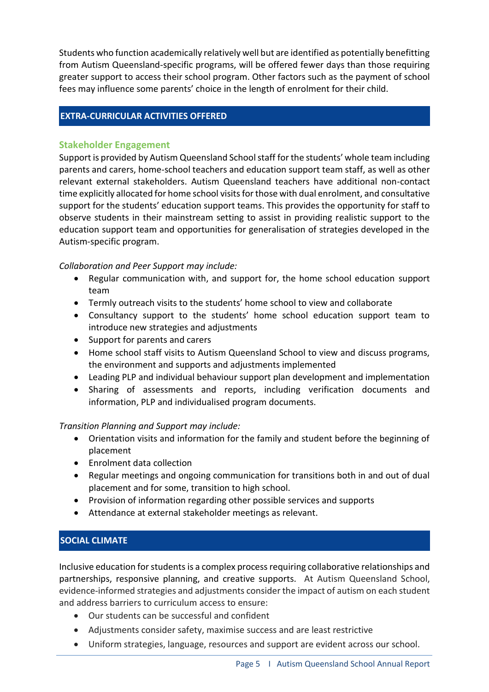Students who function academically relatively well but are identified as potentially benefitting from Autism Queensland-specific programs, will be offered fewer days than those requiring greater support to access their school program. Other factors such as the payment of school fees may influence some parents' choice in the length of enrolment for their child.

# **EXTRA-CURRICULAR ACTIVITIES OFFERED**

### **Stakeholder Engagement**

Support is provided by Autism Queensland School staff for the students' whole team including parents and carers, home-school teachers and education support team staff, as well as other relevant external stakeholders. Autism Queensland teachers have additional non-contact time explicitly allocated for home school visits for those with dual enrolment, and consultative support for the students' education support teams. This provides the opportunity for staff to observe students in their mainstream setting to assist in providing realistic support to the education support team and opportunities for generalisation of strategies developed in the Autism-specific program.

# *Collaboration and Peer Support may include:*

- Regular communication with, and support for, the home school education support team
- Termly outreach visits to the students' home school to view and collaborate
- Consultancy support to the students' home school education support team to introduce new strategies and adjustments
- Support for parents and carers
- Home school staff visits to Autism Queensland School to view and discuss programs, the environment and supports and adjustments implemented
- Leading PLP and individual behaviour support plan development and implementation
- Sharing of assessments and reports, including verification documents and information, PLP and individualised program documents.

# *Transition Planning and Support may include:*

- Orientation visits and information for the family and student before the beginning of placement
- Enrolment data collection
- Regular meetings and ongoing communication for transitions both in and out of dual placement and for some, transition to high school.
- Provision of information regarding other possible services and supports
- Attendance at external stakeholder meetings as relevant.

# **SOCIAL CLIMATE**

Inclusive education for studentsis a complex process requiring collaborative relationships and partnerships, responsive planning, and creative supports. At Autism Queensland School, evidence-informed strategies and adjustments consider the impact of autism on each student and address barriers to curriculum access to ensure:

- Our students can be successful and confident
- Adjustments consider safety, maximise success and are least restrictive
- Uniform strategies, language, resources and support are evident across our school.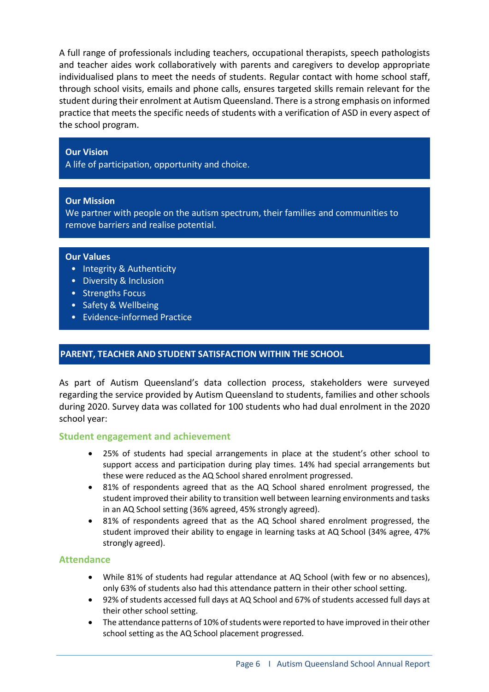A full range of professionals including teachers, occupational therapists, speech pathologists and teacher aides work collaboratively with parents and caregivers to develop appropriate individualised plans to meet the needs of students. Regular contact with home school staff, through school visits, emails and phone calls, ensures targeted skills remain relevant for the student during their enrolment at Autism Queensland. There is a strong emphasis on informed practice that meets the specific needs of students with a verification of ASD in every aspect of the school program.

#### **Our Vision**

A life of participation, opportunity and choice.

#### **Our Mission**

We partner with people on the autism spectrum, their families and communities to remove barriers and realise potential.

#### **Our Values**

•

- Integrity & Authenticity
- Diversity & Inclusion
- Strengths Focus
- Safety & Wellbeing
- Evidence-informed Practice

#### **PARENT, TEACHER AND STUDENT SATISFACTION WITHIN THE SCHOOL**

As part of Autism Queensland's data collection process, stakeholders were surveyed regarding the service provided by Autism Queensland to students, families and other schools during 2020. Survey data was collated for 100 students who had dual enrolment in the 2020 school year:

#### **Student engagement and achievement**

- 25% of students had special arrangements in place at the student's other school to support access and participation during play times. 14% had special arrangements but these were reduced as the AQ School shared enrolment progressed.
- 81% of respondents agreed that as the AQ School shared enrolment progressed, the student improved their ability to transition well between learning environments and tasks in an AQ School setting (36% agreed, 45% strongly agreed).
- 81% of respondents agreed that as the AQ School shared enrolment progressed, the student improved their ability to engage in learning tasks at AQ School (34% agree, 47% strongly agreed).

#### **Attendance**

- While 81% of students had regular attendance at AQ School (with few or no absences), only 63% of students also had this attendance pattern in their other school setting.
- 92% of students accessed full days at AQ School and 67% of students accessed full days at their other school setting.
- The attendance patterns of 10% of students were reported to have improved in their other school setting as the AQ School placement progressed.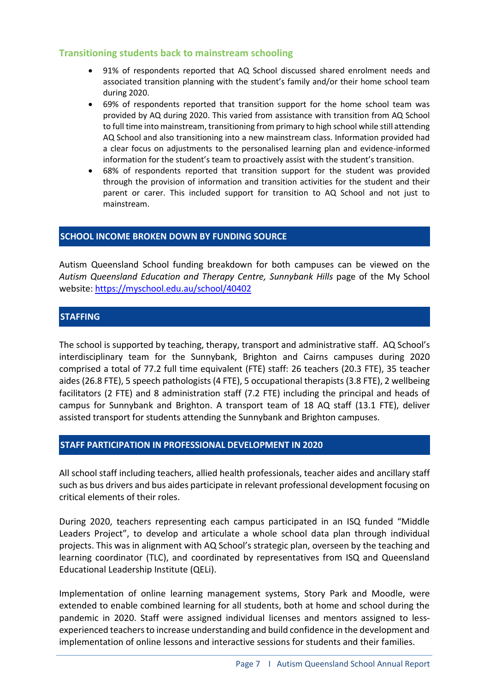# **Transitioning students back to mainstream schooling**

- 91% of respondents reported that AQ School discussed shared enrolment needs and associated transition planning with the student's family and/or their home school team during 2020.
- 69% of respondents reported that transition support for the home school team was provided by AQ during 2020. This varied from assistance with transition from AQ School to full time into mainstream, transitioning from primary to high school while still attending AQ School and also transitioning into a new mainstream class. Information provided had a clear focus on adjustments to the personalised learning plan and evidence-informed information for the student's team to proactively assist with the student's transition.
- 68% of respondents reported that transition support for the student was provided through the provision of information and transition activities for the student and their parent or carer. This included support for transition to AQ School and not just to mainstream.

### **SCHOOL INCOME BROKEN DOWN BY FUNDING SOURCE**

Autism Queensland School funding breakdown for both campuses can be viewed on the *Autism Queensland Education and Therapy Centre, Sunnybank Hills* page of the My School website: <https://myschool.edu.au/school/40402>

# **STAFFING**

The school is supported by teaching, therapy, transport and administrative staff. AQ School's interdisciplinary team for the Sunnybank, Brighton and Cairns campuses during 2020 comprised a total of 77.2 full time equivalent (FTE) staff: 26 teachers (20.3 FTE), 35 teacher aides (26.8 FTE), 5 speech pathologists (4 FTE), 5 occupational therapists (3.8 FTE), 2 wellbeing facilitators (2 FTE) and 8 administration staff (7.2 FTE) including the principal and heads of campus for Sunnybank and Brighton. A transport team of 18 AQ staff (13.1 FTE), deliver assisted transport for students attending the Sunnybank and Brighton campuses.

# **STAFF PARTICIPATION IN PROFESSIONAL DEVELOPMENT IN 2020**

All school staff including teachers, allied health professionals, teacher aides and ancillary staff such as bus drivers and bus aides participate in relevant professional development focusing on critical elements of their roles.

During 2020, teachers representing each campus participated in an ISQ funded "Middle Leaders Project", to develop and articulate a whole school data plan through individual projects. This was in alignment with AQ School's strategic plan, overseen by the teaching and learning coordinator (TLC), and coordinated by representatives from ISQ and Queensland Educational Leadership Institute (QELi).

Implementation of online learning management systems, Story Park and Moodle, were extended to enable combined learning for all students, both at home and school during the pandemic in 2020. Staff were assigned individual licenses and mentors assigned to lessexperienced teachers to increase understanding and build confidence in the development and implementation of online lessons and interactive sessions for students and their families.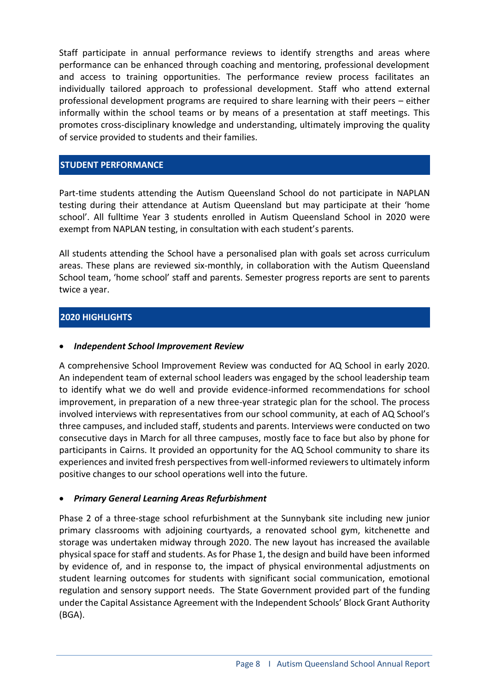Staff participate in annual performance reviews to identify strengths and areas where performance can be enhanced through coaching and mentoring, professional development and access to training opportunities. The performance review process facilitates an individually tailored approach to professional development. Staff who attend external professional development programs are required to share learning with their peers – either informally within the school teams or by means of a presentation at staff meetings. This promotes cross-disciplinary knowledge and understanding, ultimately improving the quality of service provided to students and their families.

# **STUDENT PERFORMANCE**

Part-time students attending the Autism Queensland School do not participate in NAPLAN testing during their attendance at Autism Queensland but may participate at their 'home school'. All fulltime Year 3 students enrolled in Autism Queensland School in 2020 were exempt from NAPLAN testing, in consultation with each student's parents.

All students attending the School have a personalised plan with goals set across curriculum areas. These plans are reviewed six-monthly, in collaboration with the Autism Queensland School team, 'home school' staff and parents. Semester progress reports are sent to parents twice a year.

### **2020 HIGHLIGHTS**

#### • *Independent School Improvement Review*

A comprehensive School Improvement Review was conducted for AQ School in early 2020. An independent team of external school leaders was engaged by the school leadership team to identify what we do well and provide evidence-informed recommendations for school improvement, in preparation of a new three-year strategic plan for the school. The process involved interviews with representatives from our school community, at each of AQ School's three campuses, and included staff, students and parents. Interviews were conducted on two consecutive days in March for all three campuses, mostly face to face but also by phone for participants in Cairns. It provided an opportunity for the AQ School community to share its experiences and invited fresh perspectives from well-informed reviewers to ultimately inform positive changes to our school operations well into the future.

#### • *Primary General Learning Areas Refurbishment*

Phase 2 of a three-stage school refurbishment at the Sunnybank site including new junior primary classrooms with adjoining courtyards, a renovated school gym, kitchenette and storage was undertaken midway through 2020. The new layout has increased the available physical space for staff and students. As for Phase 1, the design and build have been informed by evidence of, and in response to, the impact of physical environmental adjustments on student learning outcomes for students with significant social communication, emotional regulation and sensory support needs. The State Government provided part of the funding under the Capital Assistance Agreement with the Independent Schools' Block Grant Authority (BGA).